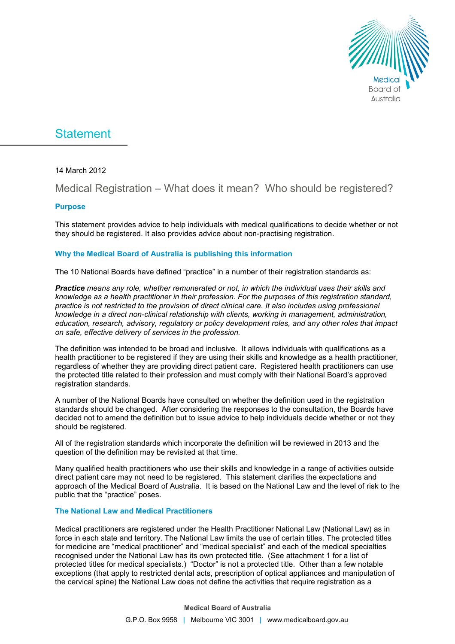

# **Statement**

14 March 2012

### Medical Registration – What does it mean? Who should be registered?

#### **Purpose**

This statement provides advice to help individuals with medical qualifications to decide whether or not they should be registered. It also provides advice about non-practising registration.

#### **Why the Medical Board of Australia is publishing this information**

The 10 National Boards have defined "practice" in a number of their registration standards as:

*Practice means any role, whether remunerated or not, in which the individual uses their skills and knowledge as a health practitioner in their profession. For the purposes of this registration standard, practice is not restricted to the provision of direct clinical care. It also includes using professional knowledge in a direct non-clinical relationship with clients, working in management, administration, education, research, advisory, regulatory or policy development roles, and any other roles that impact on safe, effective delivery of services in the profession.* 

The definition was intended to be broad and inclusive. It allows individuals with qualifications as a health practitioner to be registered if they are using their skills and knowledge as a health practitioner, regardless of whether they are providing direct patient care. Registered health practitioners can use the protected title related to their profession and must comply with their National Board's approved registration standards.

A number of the National Boards have consulted on whether the definition used in the registration standards should be changed. After considering the responses to the consultation, the Boards have decided not to amend the definition but to issue advice to help individuals decide whether or not they should be registered.

All of the registration standards which incorporate the definition will be reviewed in 2013 and the question of the definition may be revisited at that time.

Many qualified health practitioners who use their skills and knowledge in a range of activities outside direct patient care may not need to be registered. This statement clarifies the expectations and approach of the Medical Board of Australia. It is based on the National Law and the level of risk to the public that the "practice" poses.

#### **The National Law and Medical Practitioners**

Medical practitioners are registered under the Health Practitioner National Law (National Law) as in force in each state and territory. The National Law limits the use of certain titles. The protected titles for medicine are "medical practitioner" and "medical specialist" and each of the medical specialties recognised under the National Law has its own protected title. (See attachment 1 for a list of protected titles for medical specialists.) "Doctor" is not a protected title. Other than a few notable exceptions (that apply to restricted dental acts, prescription of optical appliances and manipulation of the cervical spine) the National Law does not define the activities that require registration as a

**Medical Board of Australia**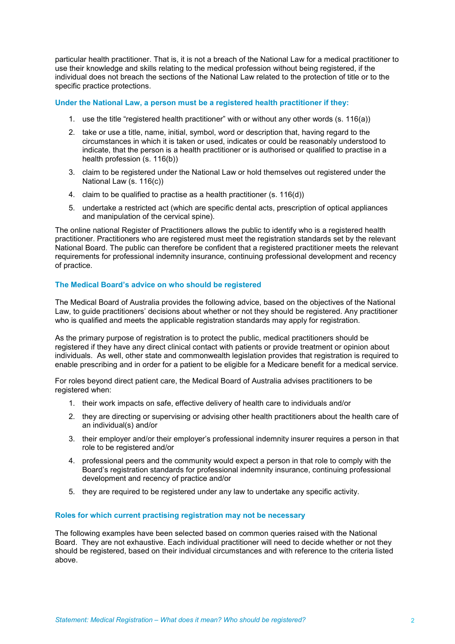particular health practitioner. That is, it is not a breach of the National Law for a medical practitioner to use their knowledge and skills relating to the medical profession without being registered, if the individual does not breach the sections of the National Law related to the protection of title or to the specific practice protections.

#### **Under the National Law, a person must be a registered health practitioner if they:**

- 1. use the title "registered health practitioner" with or without any other words (s. 116(a))
- 2. take or use a title, name, initial, symbol, word or description that, having regard to the circumstances in which it is taken or used, indicates or could be reasonably understood to indicate, that the person is a health practitioner or is authorised or qualified to practise in a health profession (s. 116(b))
- 3. claim to be registered under the National Law or hold themselves out registered under the National Law (s. 116(c))
- 4. claim to be qualified to practise as a health practitioner (s. 116(d))
- 5. undertake a restricted act (which are specific dental acts, prescription of optical appliances and manipulation of the cervical spine).

The online national Register of Practitioners allows the public to identify who is a registered health practitioner. Practitioners who are registered must meet the registration standards set by the relevant National Board. The public can therefore be confident that a registered practitioner meets the relevant requirements for professional indemnity insurance, continuing professional development and recency of practice.

#### **The Medical Board's advice on who should be registered**

The Medical Board of Australia provides the following advice, based on the objectives of the National Law, to guide practitioners' decisions about whether or not they should be registered. Any practitioner who is qualified and meets the applicable registration standards may apply for registration.

As the primary purpose of registration is to protect the public, medical practitioners should be registered if they have any direct clinical contact with patients or provide treatment or opinion about individuals. As well, other state and commonwealth legislation provides that registration is required to enable prescribing and in order for a patient to be eligible for a Medicare benefit for a medical service.

For roles beyond direct patient care, the Medical Board of Australia advises practitioners to be registered when:

- 1. their work impacts on safe, effective delivery of health care to individuals and/or
- 2. they are directing or supervising or advising other health practitioners about the health care of an individual(s) and/or
- 3. their employer and/or their employer's professional indemnity insurer requires a person in that role to be registered and/or
- 4. professional peers and the community would expect a person in that role to comply with the Board's registration standards for professional indemnity insurance, continuing professional development and recency of practice and/or
- 5. they are required to be registered under any law to undertake any specific activity.

#### **Roles for which current practising registration may not be necessary**

The following examples have been selected based on common queries raised with the National Board. They are not exhaustive. Each individual practitioner will need to decide whether or not they should be registered, based on their individual circumstances and with reference to the criteria listed above.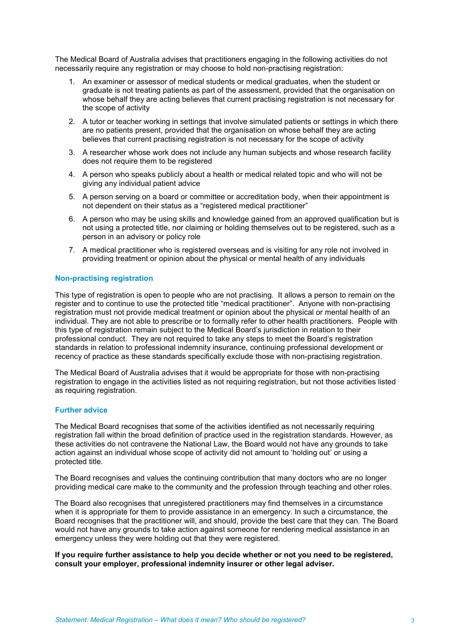The Medical Board of Australia advises that practitioners engaging in the following activities do not necessarily require any registration or may choose to hold non-practising registration:

- 1. An examiner or assessor of medical students or medical graduates, when the student or graduate is not treating patients as part of the assessment, provided that the organisation on whose behalf they are acting believes that current practising registration is not necessary for the scope of activity
- 2. A tutor or teacher working in settings that involve simulated patients or settings in which there are no patients present, provided that the organisation on whose behalf they are acting believes that current practising registration is not necessary for the scope of activity
- 3. A researcher whose work does not include any human subjects and whose research facility does not require them to be registered
- 4. A person who speaks publicly about a health or medical related topic and who will not be giving any individual patient advice
- 5. A person serving on a board or committee or accreditation body, when their appointment is not dependent on their status as a "registered medical practitioner"
- 6. A person who may be using skills and knowledge gained from an approved qualification but is not using a protected title, nor claiming or holding themselves out to be registered, such as a person in an advisory or policy role
- 7. A medical practitioner who is registered overseas and is visiting for any role not involved in providing treatment or opinion about the physical or mental health of any individuals

#### **Non-practising registration**

This type of registration is open to people who are not practising. It allows a person to remain on the register and to continue to use the protected title "medical practitioner". Anyone with non-practising registration must not provide medical treatment or opinion about the physical or mental health of an individual. They are not able to prescribe or to formally refer to other health practitioners. People with this type of registration remain subject to the Medical Board's jurisdiction in relation to their professional conduct. They are not required to take any steps to meet the Board's registration standards in relation to professional indemnity insurance, continuing professional development or recency of practice as these standards specifically exclude those with non-practising registration.

The Medical Board of Australia advises that it would be appropriate for those with non-practising registration to engage in the activities listed as not requiring registration, but not those activities listed as requiring registration.

#### **Further advice**

The Medical Board recognises that some of the activities identified as not necessarily requiring registration fall within the broad definition of practice used in the registration standards. However, as these activities do not contravene the National Law, the Board would not have any grounds to take action against an individual whose scope of activity did not amount to 'holding out' or using a protected title.

The Board recognises and values the continuing contribution that many doctors who are no longer providing medical care make to the community and the profession through teaching and other roles.

The Board also recognises that unregistered practitioners may find themselves in a circumstance when it is appropriate for them to provide assistance in an emergency. In such a circumstance, the Board recognises that the practitioner will, and should, provide the best care that they can. The Board would not have any grounds to take action against someone for rendering medical assistance in an emergency unless they were holding out that they were registered.

**If you require further assistance to help you decide whether or not you need to be registered, consult your employer, professional indemnity insurer or other legal adviser.**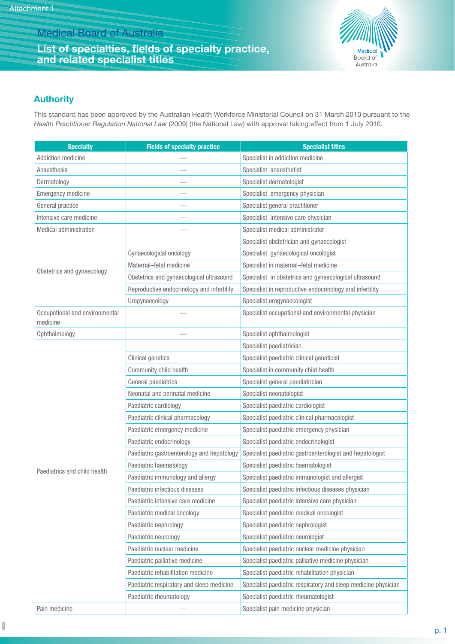# Medical Board of Australia

### **List of specialties, fields of specialty practice, and related specialist titles**



## **Authority**

This standard has been approved by the Australian Health Workforce Ministerial Council on 31 March 2010 pursuant to the *Health Practitioner Regulation National Law* (2009) (the National Law) with approval taking effect from 1 July 2010.

| <b>Specialty</b>                           | <b>Fields of specialty practice</b>        | <b>Specialist titles</b>                                       |
|--------------------------------------------|--------------------------------------------|----------------------------------------------------------------|
| Addiction medicine                         |                                            | Specialist in addiction medicine                               |
| Anaesthesia                                |                                            | Specialist anaesthetist                                        |
| Dermatology                                |                                            | Specialist dermatologist                                       |
| <b>Emergency medicine</b>                  |                                            | Specialist emergency physician                                 |
| General practice                           |                                            | Specialist general practitioner                                |
| Intensive care medicine                    |                                            | Specialist intensive care physician                            |
| <b>Medical administration</b>              |                                            | Specialist medical administrator                               |
|                                            |                                            | Specialist obstetrician and gynaecologist                      |
|                                            | Gynaecological oncology                    | Specialist gynaecological oncologist                           |
|                                            | Maternal-fetal medicine                    | Specialist in maternal-fetal medicine                          |
| Obstetrics and gynaecology                 | Obstetrics and gynaecological ultrasound   | Specialist in obstetrics and gynaecological ultrasound         |
|                                            | Reproductive endocrinology and infertility | Specialist in reproductive endocrinology and infertility       |
|                                            | Urogynaecology                             | Specialist urogynaecologist                                    |
| Occupational and environmental<br>medicine |                                            | Specialist occupational and environmental physician            |
| Ophthalmology                              |                                            | Specialist ophthalmologist                                     |
|                                            |                                            | Specialist paediatrician                                       |
|                                            | <b>Clinical genetics</b>                   | Specialist paediatric clinical geneticist                      |
|                                            | Community child health                     | Specialist in community child health                           |
|                                            | General paediatrics                        | Specialist general paediatrician                               |
|                                            | Neonatal and perinatal medicine            | Specialist neonatologist                                       |
|                                            | Paediatric cardiology                      | Specialist paediatric cardiologist                             |
|                                            | Paediatric clinical pharmacology           | Specialist paediatric clinical pharmacologist                  |
|                                            | Paediatric emergency medicine              | Specialist paediatric emergency physician                      |
| Paediatrics and child health               | Paediatric endocrinology                   | Specialist paediatric endocrinologist                          |
|                                            | Paediatric gastroenterology and hepatology | Specialist paediatric gastroenterologist and hepatologist      |
|                                            | Paediatric haematology                     | Specialist paediatric haematologist                            |
|                                            | Paediatric immunology and allergy          | Specialist paediatric immunologist and allergist               |
|                                            | Paediatric infectious diseases             | Specialist paediatric infectious diseases physician            |
|                                            | Paediatric intensive care medicine         | Specialist paediatric intensive care physician                 |
|                                            | Paediatric medical oncology                | Specialist paediatric medical oncologist                       |
|                                            | Paediatric nephrology                      | Specialist paediatric nephrologist                             |
|                                            | Paediatric neurology                       | Specialist paediatric neurologist                              |
|                                            | Paediatric nuclear medicine                | Specialist paediatric nuclear medicine physician               |
|                                            | Paediatric palliative medicine             | Specialist paediatric palliative medicine physician            |
|                                            | Paediatric rehabilitation medicine         | Specialist paediatric rehabilitation physician                 |
|                                            | Paediatric respiratory and sleep medicine  | Specialist paediatric respiratory and sleep medicine physician |
|                                            | Paediatric rheumatology                    | Specialist paediatric rheumatologist                           |
| Pain medicine                              |                                            | Specialist pain medicine physician                             |

6220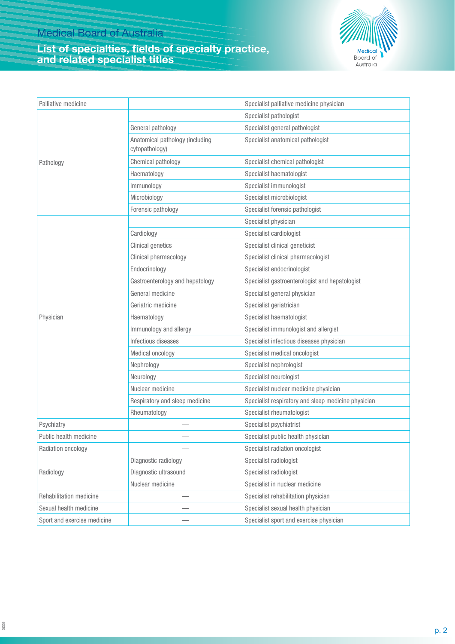## **List of specialties, fields of specialty practice, and related specialist titles**



| Palliative medicine         |                                                   | Specialist palliative medicine physician            |
|-----------------------------|---------------------------------------------------|-----------------------------------------------------|
| Pathology                   |                                                   | Specialist pathologist                              |
|                             | General pathology                                 | Specialist general pathologist                      |
|                             | Anatomical pathology (including<br>cytopathology) | Specialist anatomical pathologist                   |
|                             | Chemical pathology                                | Specialist chemical pathologist                     |
|                             | Haematology                                       | Specialist haematologist                            |
|                             | Immunology                                        | Specialist immunologist                             |
|                             | Microbiology                                      | Specialist microbiologist                           |
|                             | Forensic pathology                                | Specialist forensic pathologist                     |
| Physician                   |                                                   | Specialist physician                                |
|                             | Cardiology                                        | Specialist cardiologist                             |
|                             | <b>Clinical genetics</b>                          | Specialist clinical geneticist                      |
|                             | Clinical pharmacology                             | Specialist clinical pharmacologist                  |
|                             | Endocrinology                                     | Specialist endocrinologist                          |
|                             | Gastroenterology and hepatology                   | Specialist gastroenterologist and hepatologist      |
|                             | General medicine                                  | Specialist general physician                        |
|                             | Geriatric medicine                                | Specialist geriatrician                             |
|                             | Haematology                                       | Specialist haematologist                            |
|                             | Immunology and allergy                            | Specialist immunologist and allergist               |
|                             | Infectious diseases                               | Specialist infectious diseases physician            |
|                             | Medical oncology                                  | Specialist medical oncologist                       |
|                             | Nephrology                                        | Specialist nephrologist                             |
|                             | Neurology                                         | Specialist neurologist                              |
|                             | Nuclear medicine                                  | Specialist nuclear medicine physician               |
|                             | Respiratory and sleep medicine                    | Specialist respiratory and sleep medicine physician |
|                             | Rheumatology                                      | Specialist rheumatologist                           |
| Psychiatry                  |                                                   | Specialist psychiatrist                             |
| Public health medicine      |                                                   | Specialist public health physician                  |
| Radiation oncology          |                                                   | Specialist radiation oncologist                     |
| Radiology                   | Diagnostic radiology                              | Specialist radiologist                              |
|                             | Diagnostic ultrasound                             | Specialist radiologist                              |
|                             | Nuclear medicine                                  | Specialist in nuclear medicine                      |
| Rehabilitation medicine     |                                                   | Specialist rehabilitation physician                 |
| Sexual health medicine      |                                                   | Specialist sexual health physician                  |
| Sport and exercise medicine |                                                   | Specialist sport and exercise physician             |